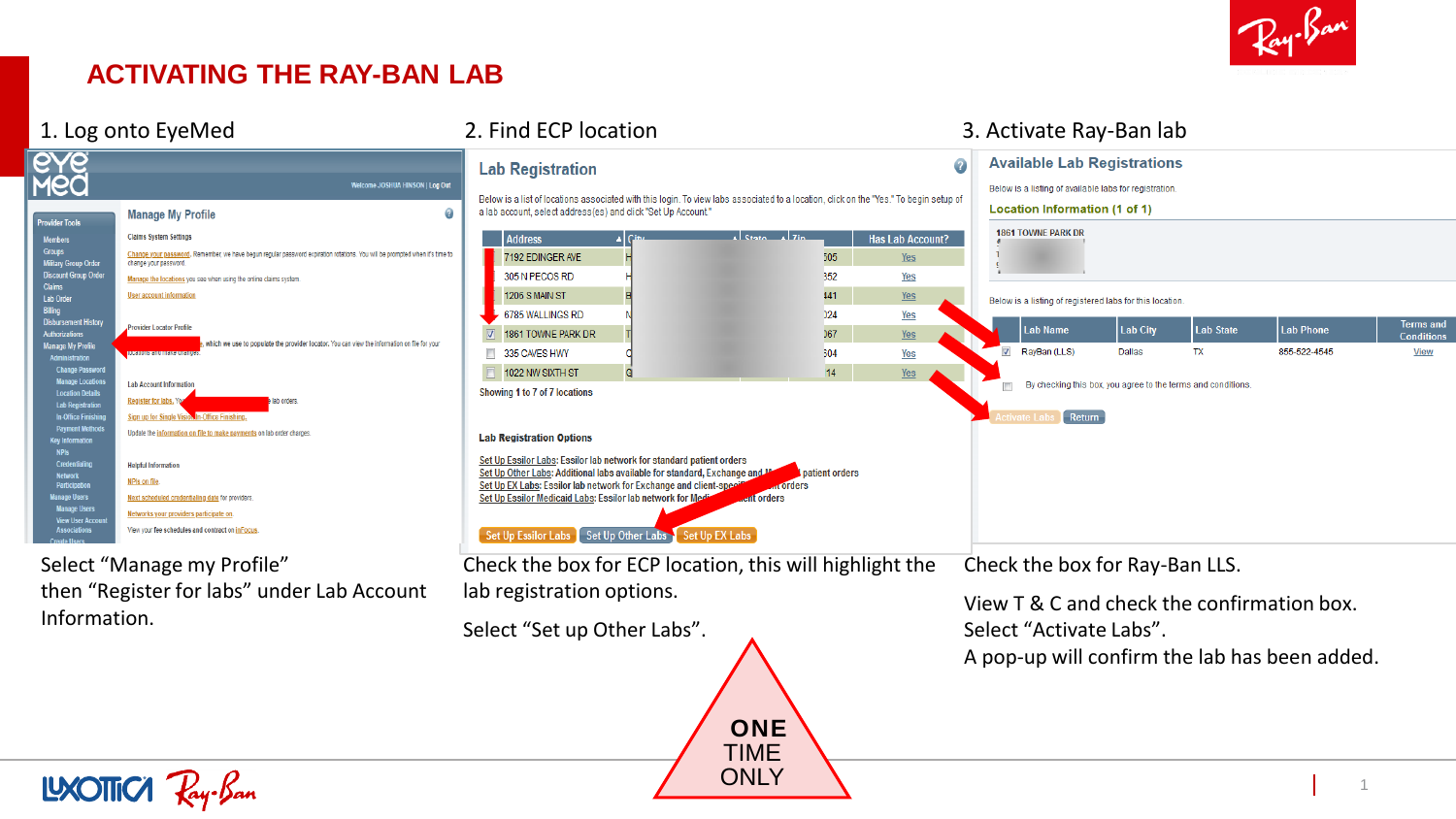

3. Activate Ray-Ban lab

# **ACTIVATING THE RAY-BAN LAB**

### 1. Log onto EyeMed

### 2. Find ECP location

| <u>eye</u><br>Med                                                                                                                                                                                                                                                                                                                                                                                                                                                                                                                                                                            |                                                                                                                                                                                                                                                                                                                                                                                                                                                                                                                                                                                                                                                                                                                                                                                                                                                                                      | $\bullet$<br><b>Lab Registration</b>                                                                                                                                                                                                                                                                                                                                                                                                                                                                                                                                                                                                                                                                                                                                                    | <b>Available Lab Registrations</b>                                                                                                                                                                                                                                                                                                      |
|----------------------------------------------------------------------------------------------------------------------------------------------------------------------------------------------------------------------------------------------------------------------------------------------------------------------------------------------------------------------------------------------------------------------------------------------------------------------------------------------------------------------------------------------------------------------------------------------|--------------------------------------------------------------------------------------------------------------------------------------------------------------------------------------------------------------------------------------------------------------------------------------------------------------------------------------------------------------------------------------------------------------------------------------------------------------------------------------------------------------------------------------------------------------------------------------------------------------------------------------------------------------------------------------------------------------------------------------------------------------------------------------------------------------------------------------------------------------------------------------|-----------------------------------------------------------------------------------------------------------------------------------------------------------------------------------------------------------------------------------------------------------------------------------------------------------------------------------------------------------------------------------------------------------------------------------------------------------------------------------------------------------------------------------------------------------------------------------------------------------------------------------------------------------------------------------------------------------------------------------------------------------------------------------------|-----------------------------------------------------------------------------------------------------------------------------------------------------------------------------------------------------------------------------------------------------------------------------------------------------------------------------------------|
|                                                                                                                                                                                                                                                                                                                                                                                                                                                                                                                                                                                              | Welcome JOSHUA HINSON   Log Out                                                                                                                                                                                                                                                                                                                                                                                                                                                                                                                                                                                                                                                                                                                                                                                                                                                      | Below is a list of locations associated with this login. To view labs associated to a location, click on the "Yes." To begin setup of<br>a lab account, select address(es) and click "Set Up Account."                                                                                                                                                                                                                                                                                                                                                                                                                                                                                                                                                                                  | Below is a listing of available labs for registration.<br>Location Information (1 of 1)                                                                                                                                                                                                                                                 |
| <b>Provider Tools</b><br><b>Members</b><br><b>Groups</b><br><b>Military Group Order</b><br><b>Discount Group Order</b><br>Claims<br>Lab Order<br>Billing<br><b>Disbursement History</b><br>Authorizations<br>Manage My Profile<br><b>Change Password</b><br><b>Manage Location</b><br><b>Location Details</b><br><b>Lab Registration</b><br><b>In-Office Finishin</b><br><b>Payment Methods</b><br><b>Key Information</b><br><b>NPIS</b><br>Credentialing<br><b>Network</b><br>Participation<br><b>Manage Users</b><br><b>Manage Users</b><br><b>View User Accoun</b><br><b>Associations</b> | <b>Manage My Profile</b><br><b>Claims System Settings</b><br>Change your password. Remember, we have begun regular password expiration rotations. You will be prompted when it's time to<br>change your password.<br>Manage the locations you see when using the online claims system.<br>User account information<br>Provider Locator Profile<br>, which we use to populate the provider locator. You can view the information on file for your<br>woduons and make on<br><b>Lab Account Information</b><br>Register for labs. You<br>lab orders.<br>Sign up for Single Vision, In Office Finishing.<br>Update the information on file to make payments on lab order charges<br><b>Helpful Information</b><br><b>NPIs on file</b><br>Next scheduled credentialing date for providers.<br>Networks your providers participate or<br>View your fee schedules and contract on inFocus. | Address<br>Al State Al 7in<br><b>Has Lab Account?</b><br>7192 EDINGER AVE<br>505<br>Yes<br>305 N PECOS RD<br>352<br>Yes<br>141<br>1206 S MAIN ST<br>$Yes$<br>124<br>6785 WALLINGS RD<br>Yes<br>167<br>1861 TOWNE PARK DR<br>$Yes$<br>504<br>335 CAVES HWY<br>Yes<br>14 <sup>°</sup><br>1022 NW SIXTH ST<br>Yes<br>Showing 1 to 7 of 7 locations<br><b>Lab Registration Options</b><br>Set Up Essilor Labs: Essilor lab network for standard patient orders<br>Set Up Other Labs: Additional labs available for standard, Exchange and Ma<br>patient orders<br>Set Up EX Labs: Essilor lab network for Exchange and client-special<br>corders<br>Set Up Essilor Medicaid Labs: Essilor lab network for Media<br><b>nt</b> orders<br>Set Up Essilor Labs Set Up Other Labs Set Up EX Labs | <b>1861 TOWNE PARK DR</b><br>Below is a listing of registered labs for this location.<br><b>Terms and</b><br>Lab Name<br><b>Lab City</b><br><b>Lab State</b><br><b>Lab Phone</b><br><b>Conditions</b><br>RayBan (LLS)<br>TX<br>855-522-4545<br>Dallas<br>View<br>By checking this box, you agree to the terms and conditions.<br>Return |
| Information.                                                                                                                                                                                                                                                                                                                                                                                                                                                                                                                                                                                 | Select "Manage my Profile"<br>then "Register for labs" under Lab Account                                                                                                                                                                                                                                                                                                                                                                                                                                                                                                                                                                                                                                                                                                                                                                                                             | Check the box for ECP location, this will highlight the<br>lab registration options.<br>Select "Set up Other Labs".<br><b>ONE</b><br><b>TIME</b>                                                                                                                                                                                                                                                                                                                                                                                                                                                                                                                                                                                                                                        | Check the box for Ray-Ban LLS.<br>View T & C and check the confirmation box.<br>Select "Activate Labs".<br>A pop-up will confirm the lab has been added.                                                                                                                                                                                |

**ONLY** 

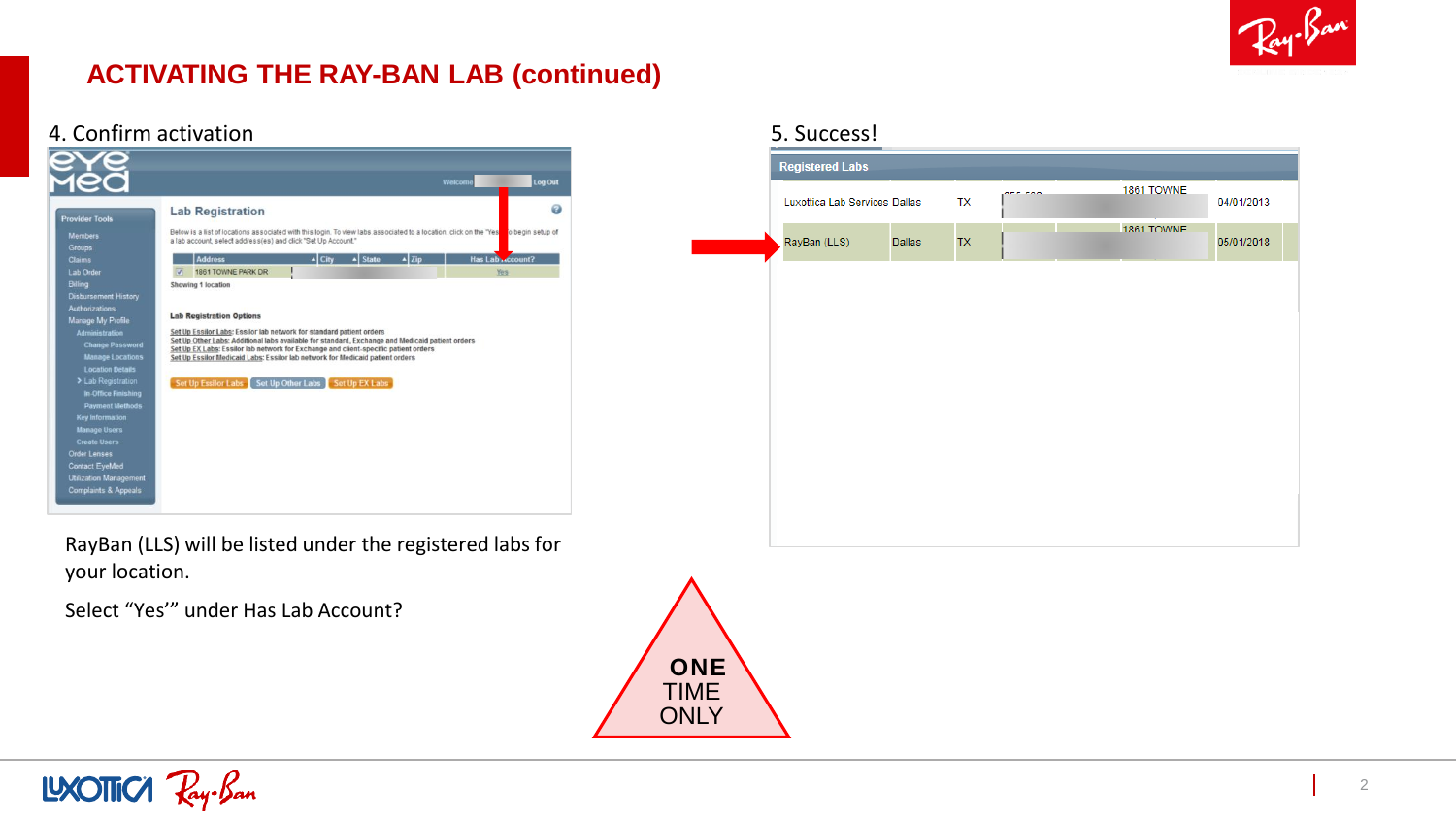

# **ACTIVATING THE RAY-BAN LAB (continued)**

### 4. Confirm activation

| <b>Lab Registration</b><br><b>Provider Tools</b><br>Below is a list of locations associated with this login. To view labs associated to a location, click on the "Yes<br><b>Members</b><br>a lab account, select address(es) and click "Set Up Account."<br><b>Groups</b><br><b>Address</b><br>$\blacktriangle$ Zip<br>A City<br>$\blacktriangle$ State<br>Claims<br>1861 TOWNE PARK DR<br>Lab Order<br>ı<br>v<br><b>Billing</b><br>Showing 1 location<br><b>Disbursement History</b><br>Authorizations<br><b>Lab Registration Options</b><br>Manage My Profile<br>Set Up Essilor Labs: Essilor lab network for standard patient orders<br>Administration<br>Set Up Other Labs: Additional labs available for standard, Exchange and Medicaid patient orders<br><b>Change Password</b><br>Set Up EX Labs: Essilor lab network for Exchange and client-specific patient orders<br><b>Manage Locations</b><br>Set Up Essilor Medicaid Labs: Essilor lab network for Medicaid patient orders<br><b>Location Details</b><br>> Lab Registration<br>Set Up Essilor Labs Set Up Other Labs<br>Set Up EX Labs<br><b>In-Office Finishing</b> | Log Out<br>Welcome<br>Q |
|-------------------------------------------------------------------------------------------------------------------------------------------------------------------------------------------------------------------------------------------------------------------------------------------------------------------------------------------------------------------------------------------------------------------------------------------------------------------------------------------------------------------------------------------------------------------------------------------------------------------------------------------------------------------------------------------------------------------------------------------------------------------------------------------------------------------------------------------------------------------------------------------------------------------------------------------------------------------------------------------------------------------------------------------------------------------------------------------------------------------------------------|-------------------------|
|                                                                                                                                                                                                                                                                                                                                                                                                                                                                                                                                                                                                                                                                                                                                                                                                                                                                                                                                                                                                                                                                                                                                     | b begin setup of        |
| <b>Payment Methods</b><br><b>Key Information</b><br><b>Manage Users</b><br><b>Create Users</b><br><b>Order Lenses</b><br><b>Contact EveMed</b>                                                                                                                                                                                                                                                                                                                                                                                                                                                                                                                                                                                                                                                                                                                                                                                                                                                                                                                                                                                      | Has Lab Coount?<br>Yes  |

#### 5. Success!

| <b>Registered Labs</b>        |               |           |         |            |            |
|-------------------------------|---------------|-----------|---------|------------|------------|
| Luxottica Lab Services Dallas |               | TX        | arr roo | 1861 TOWNE | 04/01/2013 |
| RayBan (LLS)                  | <b>Dallas</b> | <b>TX</b> |         | 1861 TOWNE | 05/01/2018 |
|                               |               |           |         |            |            |
|                               |               |           |         |            |            |
|                               |               |           |         |            |            |
|                               |               |           |         |            |            |
|                               |               |           |         |            |            |
|                               |               |           |         |            |            |
|                               |               |           |         |            |            |
|                               |               |           |         |            |            |

RayBan (LLS) will be listed under the registered labs for your location.

Select "Yes'" under Has Lab Account?

LXOTTICA Ray-Ban

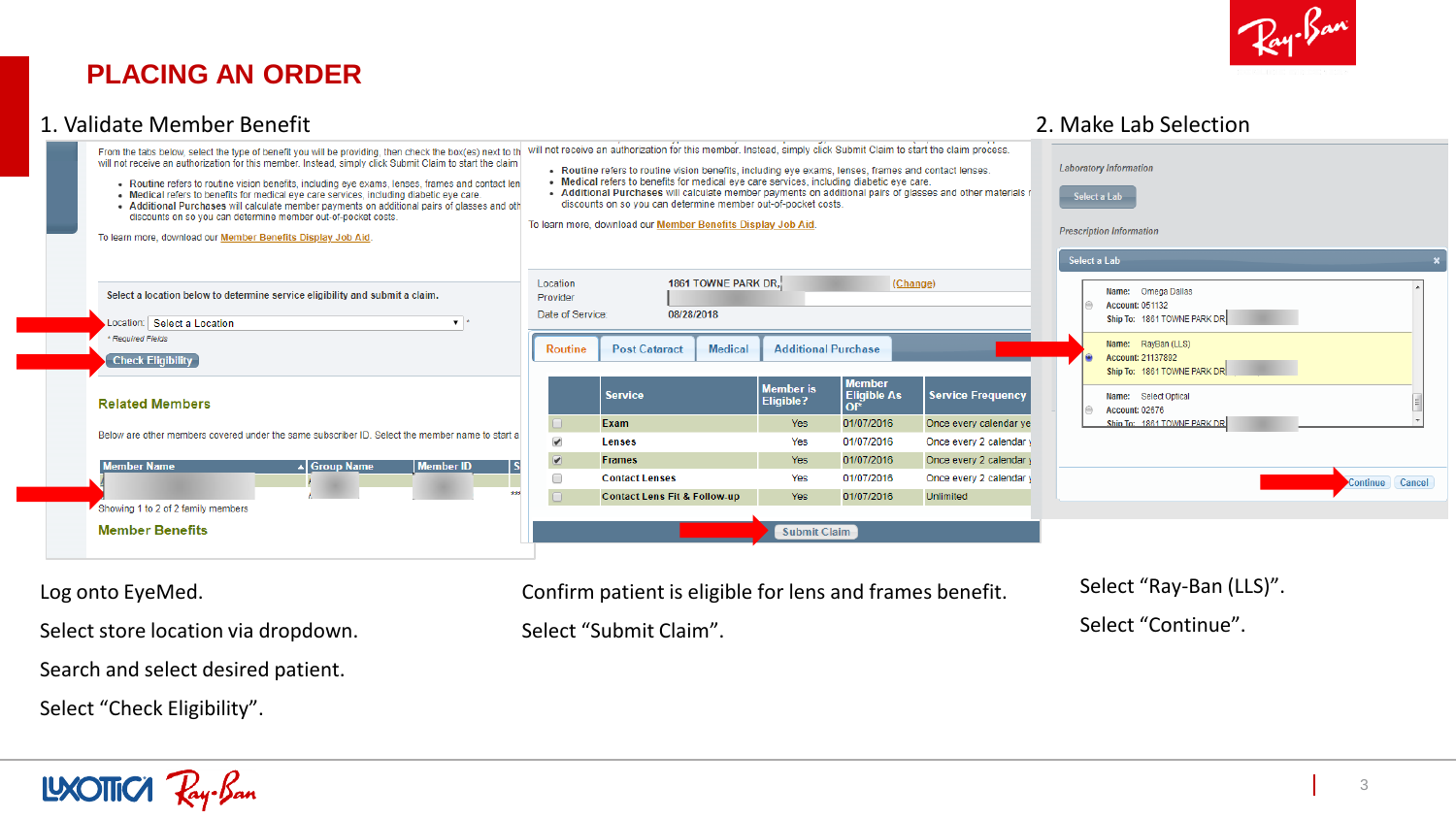

### **PLACING AN ORDER**

#### 1. Validate Member Benefit

### 2. Make Lab Selection

| From the tabs below, select the type of benefit you will be providing, then check the box(es) next to the<br>will not receive an authorization for this member. Instead, simply click Submit Claim to start the claim<br>. Routine refers to routine vision benefits, including eye exams, lenses, frames and contact len<br>. Medical refers to benefits for medical eye care services, including diabetic eye care.<br>• Additional Purchases will calculate member payments on additional pairs of glasses and oth<br>discounts on so you can determine member out-of-pocket costs.<br>To learn more, download our Member Benefits Display Job Aid. |                                          | will not receive an authorization for this member. Instead, simply click Submit Claim to start the claim process.<br>. Routine refers to routine vision benefits, including eve exams, lenses, frames and contact lenses.<br>. Medical refers to benefits for medical eve care services, including diabetic eve care.<br>discounts on so you can determine member out-of-pocket costs.<br>To learn more, download our Member Benefits Display Job Aid. |                     |                               |                                     | . Additional Purchases will calculate member payments on additional pairs of glasses and other materials r | <b>Laboratory Information</b><br>Select a Lab<br><b>Prescription Information</b><br>Select a Lab |                 |  |
|--------------------------------------------------------------------------------------------------------------------------------------------------------------------------------------------------------------------------------------------------------------------------------------------------------------------------------------------------------------------------------------------------------------------------------------------------------------------------------------------------------------------------------------------------------------------------------------------------------------------------------------------------------|------------------------------------------|--------------------------------------------------------------------------------------------------------------------------------------------------------------------------------------------------------------------------------------------------------------------------------------------------------------------------------------------------------------------------------------------------------------------------------------------------------|---------------------|-------------------------------|-------------------------------------|------------------------------------------------------------------------------------------------------------|--------------------------------------------------------------------------------------------------|-----------------|--|
| Select a location below to determine service eligibility and submit a claim.<br>Location: Select a Location<br>$\mathbf{v}$ $\mathbf{r}$                                                                                                                                                                                                                                                                                                                                                                                                                                                                                                               | Location<br>Provider<br>Date of Service: | 08/28/2018                                                                                                                                                                                                                                                                                                                                                                                                                                             | 1861 TOWNE PARK DR, |                               | (Change)                            |                                                                                                            | Name: Omega Dallas<br><b>Account: 051132</b><br>Ship To: 1861 TOWNE PARK DR                      |                 |  |
| * Required Fields<br><b>Check Eligibility</b>                                                                                                                                                                                                                                                                                                                                                                                                                                                                                                                                                                                                          | <b>Routine</b>                           | <b>Post Cataract</b>                                                                                                                                                                                                                                                                                                                                                                                                                                   | <b>Medical</b>      | <b>Additional Purchase</b>    |                                     |                                                                                                            | Name: RayBan (LLS)<br><b>Account: 21137892</b><br>Ship To: 1861 TOWNE PARK DR                    |                 |  |
| <b>Related Members</b>                                                                                                                                                                                                                                                                                                                                                                                                                                                                                                                                                                                                                                 |                                          | <b>Service</b>                                                                                                                                                                                                                                                                                                                                                                                                                                         |                     | <b>Member</b> is<br>Eligible? | <b>Member</b><br><b>Eligible As</b> | <b>Service Frequency</b>                                                                                   | Name: Select Optical<br><b>Account: 02676</b>                                                    |                 |  |
| Below are other members covered under the same subscriber ID. Select the member name to start a                                                                                                                                                                                                                                                                                                                                                                                                                                                                                                                                                        |                                          | <b>Exam</b>                                                                                                                                                                                                                                                                                                                                                                                                                                            |                     | Yes                           | 01/07/2016                          | Once every calendar ye:                                                                                    | Ship To: 1861 TOWNE PARK DR                                                                      |                 |  |
|                                                                                                                                                                                                                                                                                                                                                                                                                                                                                                                                                                                                                                                        | $\overline{\mathcal{L}}$                 | <b>Lenses</b>                                                                                                                                                                                                                                                                                                                                                                                                                                          |                     | Yes                           | 01/07/2016                          | Once every 2 calendar y                                                                                    |                                                                                                  |                 |  |
| <b>Member ID</b><br><b>Member Name</b><br>Group Name                                                                                                                                                                                                                                                                                                                                                                                                                                                                                                                                                                                                   | $\overline{\mathcal{C}}$                 | <b>Frames</b>                                                                                                                                                                                                                                                                                                                                                                                                                                          |                     | Yes                           | 01/07/2016                          | Once every 2 calendar y                                                                                    |                                                                                                  |                 |  |
|                                                                                                                                                                                                                                                                                                                                                                                                                                                                                                                                                                                                                                                        |                                          | <b>Contact Lenses</b>                                                                                                                                                                                                                                                                                                                                                                                                                                  |                     | Yes                           | 01/07/2016                          | Once every 2 calendar y                                                                                    |                                                                                                  | Continue Cancel |  |
| Showing 1 to 2 of 2 family members                                                                                                                                                                                                                                                                                                                                                                                                                                                                                                                                                                                                                     |                                          | <b>Contact Lens Fit &amp; Follow-up</b>                                                                                                                                                                                                                                                                                                                                                                                                                |                     | Yes                           | 01/07/2016                          | Unlimited                                                                                                  |                                                                                                  |                 |  |
| <b>Member Benefits</b>                                                                                                                                                                                                                                                                                                                                                                                                                                                                                                                                                                                                                                 |                                          |                                                                                                                                                                                                                                                                                                                                                                                                                                                        |                     | <b>Submit Claim</b>           |                                     |                                                                                                            |                                                                                                  |                 |  |

Log onto EyeMed.

Select store location via dropdown.

Search and select desired patient.

Select "Check Eligibility".



Confirm patient is eligible for lens and frames benefit.

Select "Submit Claim".

Select "Ray-Ban (LLS)". Select "Continue".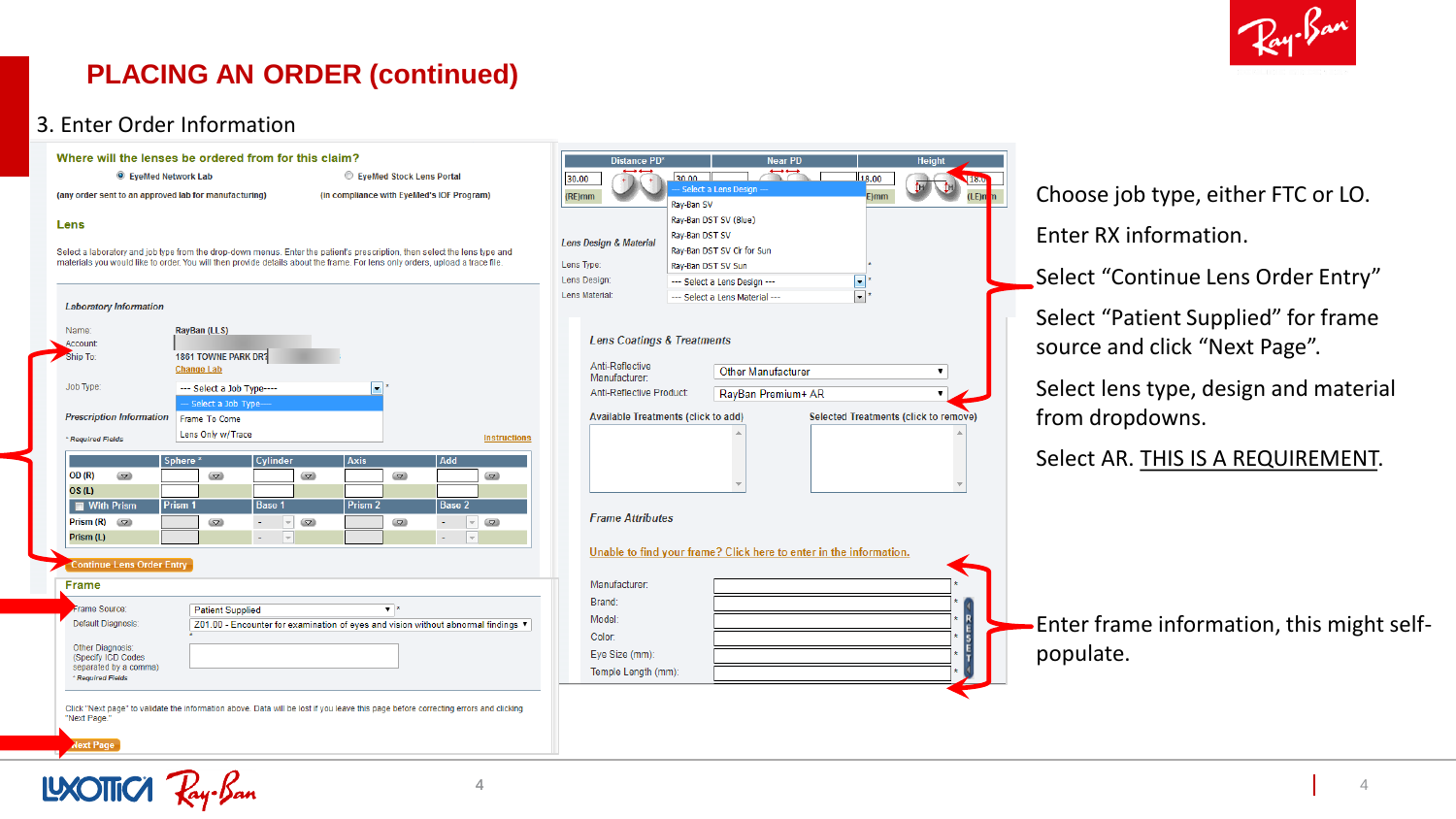

# **PLACING AN ORDER (continued)**

#### 3. Enter Order Information

|                                                                                                                              | Where will the lenses be ordered from for this claim?                             |               |                                      |                          |                           |                                           |                     |            | Distance PD*                       |                 |
|------------------------------------------------------------------------------------------------------------------------------|-----------------------------------------------------------------------------------|---------------|--------------------------------------|--------------------------|---------------------------|-------------------------------------------|---------------------|------------|------------------------------------|-----------------|
| <b>EveMed Network Lab</b>                                                                                                    |                                                                                   |               |                                      |                          | EyeMed Stock Lens Portal  |                                           |                     | 30.00      |                                    | 30.00<br>Select |
| (any order sent to an approved lab for manufacturing)                                                                        |                                                                                   |               |                                      |                          |                           | (in compliance with EveMed's IOF Program) |                     | (RE)mm     |                                    | Ray-Ban 9       |
| Lens                                                                                                                         |                                                                                   |               |                                      |                          |                           |                                           |                     |            |                                    | Ray-Ban D       |
|                                                                                                                              |                                                                                   |               |                                      |                          |                           |                                           |                     |            | <b>Lens Design &amp; Material</b>  | Ray-Ban D       |
| Select a laboratory and job type from the drop-down menus. Enter the patient's prescription, then select the lens type and   |                                                                                   |               |                                      |                          |                           |                                           |                     |            |                                    | Ray-Ban D       |
| materials you would like to order. You will then provide details about the frame. For lens only orders, upload a trace file. |                                                                                   |               |                                      |                          |                           |                                           |                     | Lens Type: |                                    | Rav-Ban D       |
|                                                                                                                              |                                                                                   |               |                                      |                          |                           |                                           |                     |            | Lens Design:                       | --- Seled       |
| <b>Laboratory Information</b>                                                                                                |                                                                                   |               |                                      |                          |                           |                                           |                     |            | Lens Material:                     | --- Select      |
| Name:                                                                                                                        | RayBan (LLS)                                                                      |               |                                      |                          |                           |                                           |                     |            |                                    |                 |
| Account:                                                                                                                     |                                                                                   |               |                                      |                          |                           |                                           |                     |            | <b>Lens Coatings &amp; Treatn</b>  |                 |
| Ship To:                                                                                                                     | 1861 TOWNE PARK DR?                                                               |               |                                      |                          |                           |                                           |                     |            | Anti-Reflective                    |                 |
|                                                                                                                              | <b>Change Lab</b>                                                                 |               |                                      |                          |                           |                                           |                     |            | Manufacturer:                      |                 |
| Job Type:                                                                                                                    | --- Select a Job Type----                                                         |               |                                      | $\overline{\phantom{a}}$ |                           |                                           |                     |            | <b>Anti-Reflective Product:</b>    |                 |
|                                                                                                                              | Select a Job Type-                                                                |               |                                      |                          |                           |                                           |                     |            |                                    |                 |
| <b>Prescription Information</b>                                                                                              | Frame To Come                                                                     |               |                                      |                          |                           |                                           |                     |            | <b>Available Treatments (clic)</b> |                 |
| * Required Fields                                                                                                            | Lens Only w/Trace                                                                 |               |                                      |                          |                           |                                           | <b>Instructions</b> |            |                                    |                 |
|                                                                                                                              | Sphere <sup>*</sup>                                                               | Cylinder      |                                      | <b>Axis</b>              |                           | Add                                       |                     |            |                                    |                 |
| <b>OD</b> (R)<br>$\infty$                                                                                                    | $\overline{\nabla}$                                                               |               | $\triangledown$                      |                          | $\infty$                  |                                           | $\infty$            |            |                                    |                 |
| OS(L)                                                                                                                        |                                                                                   |               |                                      |                          |                           |                                           |                     |            |                                    |                 |
| <b>With Prism</b><br>Prism 1                                                                                                 |                                                                                   | <b>Base 1</b> |                                      | Prism <sub>2</sub>       |                           | Base 2                                    |                     |            | <b>Frame Attributes</b>            |                 |
| Prism (R)<br>$\infty$                                                                                                        | $\infty$                                                                          |               | $\overline{\phantom{a}}$<br>$\infty$ |                          | $\infty$                  | $\overline{\phantom{a}}$                  | $\infty$            |            |                                    |                 |
| Prism (L)                                                                                                                    |                                                                                   |               | $\mathbf{v}$                         |                          |                           | ä,                                        |                     |            | Unable to find your fran           |                 |
| <b>Continue Lens Order Entry</b>                                                                                             |                                                                                   |               |                                      |                          |                           |                                           |                     |            |                                    |                 |
| <b>Frame</b>                                                                                                                 |                                                                                   |               |                                      |                          |                           |                                           |                     |            | Manufacturer:                      |                 |
| Frame Source:                                                                                                                | <b>Patient Supplied</b>                                                           |               |                                      |                          | $\mathbf{v}$ $\mathbf{r}$ |                                           |                     |            | Brand:                             |                 |
| <b>Default Diagnosis:</b>                                                                                                    | Z01.00 - Encounter for examination of eves and vision without abnormal findings ▼ |               |                                      |                          |                           |                                           |                     |            | Model:                             |                 |
|                                                                                                                              |                                                                                   |               |                                      |                          |                           |                                           |                     |            | Color:                             |                 |
|                                                                                                                              |                                                                                   |               |                                      |                          |                           |                                           |                     |            | Eye Size (mm):                     |                 |
| Other Diagnosis:                                                                                                             |                                                                                   |               |                                      |                          |                           |                                           |                     |            |                                    |                 |
| (Specify ICD Codes<br>separated by a comma)<br>* Required Fields                                                             |                                                                                   |               |                                      |                          |                           |                                           |                     |            | Temple Length (mm):                |                 |

| Distance PD*                          |                                                                | <b>Near PD</b>                                                     |                                       | <b>Height</b>         |       |
|---------------------------------------|----------------------------------------------------------------|--------------------------------------------------------------------|---------------------------------------|-----------------------|-------|
| 0.00<br>E)mm                          | 30.00<br>Select a Lens Design -<br>Rav-Ban SV                  | <b>RADIO</b>                                                       | $\frac{1}{18.00}$<br>$E$ ) $mm$       | <b>TISRO</b><br>(LE)m | Choc  |
|                                       | Ray-Ban DST SV (Blue)                                          |                                                                    |                                       |                       |       |
| ns Design & Material                  | Ray-Ban DST SV                                                 |                                                                    |                                       |                       | Ente  |
|                                       | Ray-Ban DST SV Clr for Sun                                     |                                                                    |                                       |                       |       |
| ns Type:                              | Ray-Ban DST SV Sun                                             |                                                                    |                                       |                       | Seleo |
| ns Design:<br>ns Material:            | --- Select a Lens Design ---<br>--- Select a Lens Material --- |                                                                    | ٠<br>۰                                |                       |       |
|                                       |                                                                |                                                                    |                                       |                       |       |
|                                       |                                                                |                                                                    |                                       |                       | Seleo |
| <b>Lens Coatings &amp; Treatments</b> |                                                                |                                                                    |                                       |                       | sour  |
| Anti-Reflective                       |                                                                |                                                                    |                                       |                       |       |
| Manufacturer:                         |                                                                | <b>Other Manufacturer</b>                                          |                                       | ▼                     |       |
| Anti-Reflective Product:              |                                                                | RayBan Premium+ AR                                                 |                                       |                       | Seleo |
|                                       | Available Treatments (click to add)                            |                                                                    | Selected Treatments (click to remove) |                       | from  |
|                                       |                                                                |                                                                    |                                       |                       |       |
|                                       |                                                                |                                                                    |                                       |                       |       |
|                                       |                                                                |                                                                    |                                       |                       | Seled |
|                                       |                                                                |                                                                    |                                       |                       |       |
|                                       |                                                                |                                                                    |                                       |                       |       |
| <b>Frame Attributes</b>               |                                                                |                                                                    |                                       |                       |       |
|                                       |                                                                |                                                                    |                                       |                       |       |
|                                       |                                                                | Unable to find your frame? Click here to enter in the information. |                                       |                       |       |
|                                       |                                                                |                                                                    |                                       |                       |       |
| Manufacturer:                         |                                                                |                                                                    |                                       |                       |       |
| Brand:                                |                                                                |                                                                    |                                       |                       |       |
| Model:                                |                                                                |                                                                    |                                       |                       | Ente  |
| Color:                                |                                                                |                                                                    |                                       | RESE                  |       |
| Eye Size (mm):                        |                                                                |                                                                    |                                       |                       | popu  |
| Temple Length (mm):                   |                                                                |                                                                    |                                       |                       |       |

ose job type, either FTC or LO.

r RX information.

ct "Continue Lens Order Entry"

ct "Patient Supplied" for frame ce and click "Next Page".

ct lens type, design and material dropdowns.

#### ct AR. <u>THIS IS A REQUIREMENT</u>.

er frame information, this might selfulate.